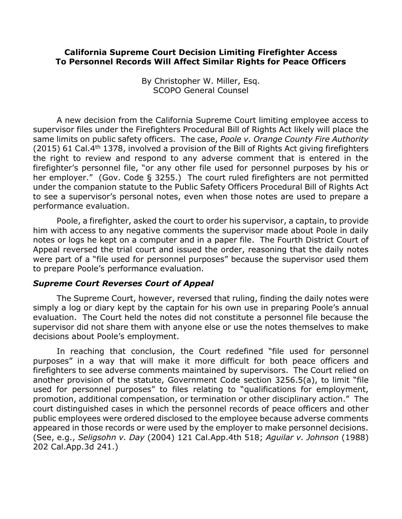## **California Supreme Court Decision Limiting Firefighter Access To Personnel Records Will Affect Similar Rights for Peace Officers**

By Christopher W. Miller, Esq. SCOPO General Counsel

A new decision from the California Supreme Court limiting employee access to supervisor files under the Firefighters Procedural Bill of Rights Act likely will place the same limits on public safety officers. The case, Poole v. Orange County Fire Authority (2015) 61 Cal.4<sup>th</sup> 1378, involved a provision of the Bill of Rights Act giving firefighters the right to review and respond to any adverse comment that is entered in the firefighter's personnel file, "or any other file used for personnel purposes by his or her employer." (Gov. Code § 3255.) The court ruled firefighters are not permitted under the companion statute to the Public Safety Officers Procedural Bill of Rights Act to see a supervisor's personal notes, even when those notes are used to prepare a performance evaluation.

Poole, a firefighter, asked the court to order his supervisor, a captain, to provide him with access to any negative comments the supervisor made about Poole in daily notes or logs he kept on a computer and in a paper file. The Fourth District Court of Appeal reversed the trial court and issued the order, reasoning that the daily notes were part of a "file used for personnel purposes" because the supervisor used them to prepare Poole's performance evaluation.

## *Supreme'Court'Reverses'Court'of'Appeal*

The Supreme Court, however, reversed that ruling, finding the daily notes were simply a log or diary kept by the captain for his own use in preparing Poole's annual evaluation. The Court held the notes did not constitute a personnel file because the supervisor did not share them with anyone else or use the notes themselves to make decisions about Poole's employment.

In reaching that conclusion, the Court redefined "file used for personnel purposes" in a way that will make it more difficult for both peace officers and firefighters to see adverse comments maintained by supervisors. The Court relied on another provision of the statute, Government Code section 3256.5(a), to limit "file used for personnel purposes" to files relating to "qualifications for employment, promotion, additional compensation, or termination or other disciplinary action." The court distinguished cases in which the personnel records of peace officers and other public employees were ordered disclosed to the employee because adverse comments appeared in those records or were used by the employer to make personnel decisions. (See, e.g., *Seligsohn v. Day* (2004) 121 Cal.App.4th 518; Aguilar v. Johnson (1988) 202 Cal.App.3d 241.)